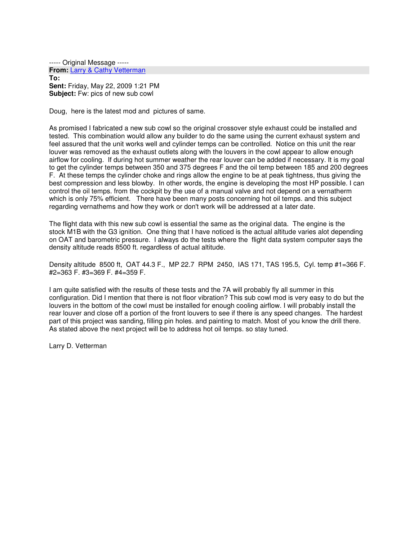----- Original Message ----- **From:** Larry & Cathy Vetterman **To: Sent:** Friday, May 22, 2009 1:21 PM **Subject:** Fw: pics of new sub cowl

Doug, here is the latest mod and pictures of same.

As promised I fabricated a new sub cowl so the original crossover style exhaust could be installed and tested. This combination would allow any builder to do the same using the current exhaust system and feel assured that the unit works well and cylinder temps can be controlled. Notice on this unit the rear louver was removed as the exhaust outlets along with the louvers in the cowl appear to allow enough airflow for cooling. If during hot summer weather the rear louver can be added if necessary. It is my goal to get the cylinder temps between 350 and 375 degrees F and the oil temp between 185 and 200 degrees F. At these temps the cylinder choke and rings allow the engine to be at peak tightness, thus giving the best compression and less blowby. In other words, the engine is developing the most HP possible. I can control the oil temps. from the cockpit by the use of a manual valve and not depend on a vernatherm which is only 75% efficient. There have been many posts concerning hot oil temps. and this subject regarding vernathems and how they work or don't work will be addressed at a later date.

The flight data with this new sub cowl is essential the same as the original data. The engine is the stock M1B with the G3 ignition. One thing that I have noticed is the actual altitude varies alot depending on OAT and barometric pressure. I always do the tests where the flight data system computer says the density altitude reads 8500 ft. regardless of actual altitude.

Density altitude 8500 ft, OAT 44.3 F., MP 22.7 RPM 2450, IAS 171, TAS 195.5, Cyl. temp #1=366 F. #2=363 F. #3=369 F. #4=359 F.

I am quite satisfied with the results of these tests and the 7A will probably fly all summer in this configuration. Did I mention that there is not floor vibration? This sub cowl mod is very easy to do but the louvers in the bottom of the cowl must be installed for enough cooling airflow. I will probably install the rear louver and close off a portion of the front louvers to see if there is any speed changes. The hardest part of this project was sanding, filling pin holes. and painting to match. Most of you know the drill there. As stated above the next project will be to address hot oil temps. so stay tuned.

Larry D. Vetterman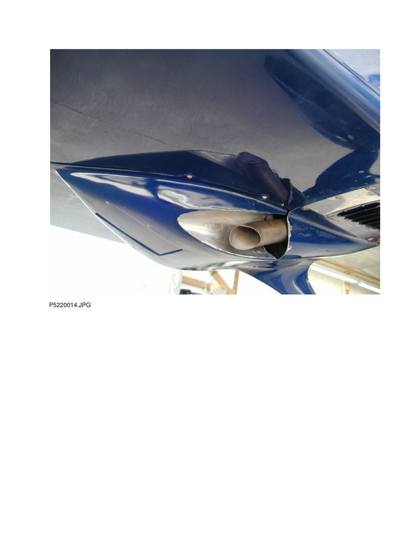

P5220014.JPG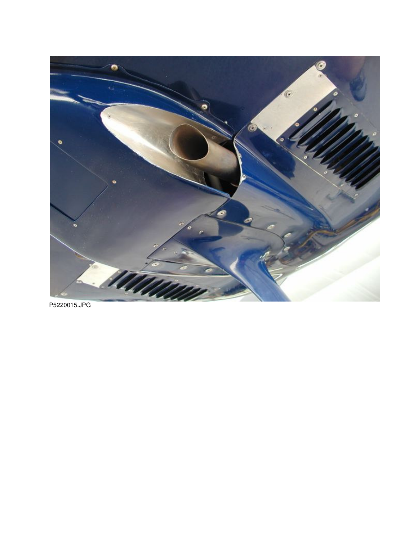

P5220015.JPG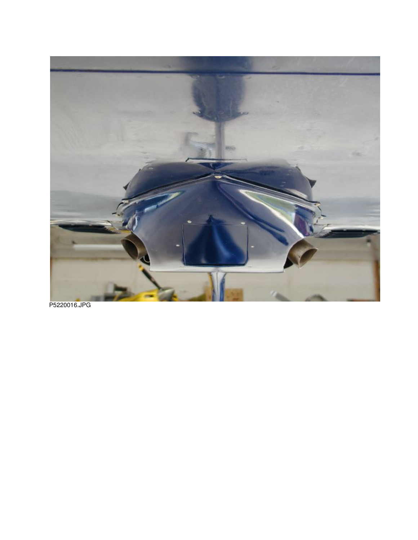

P5220016.JPG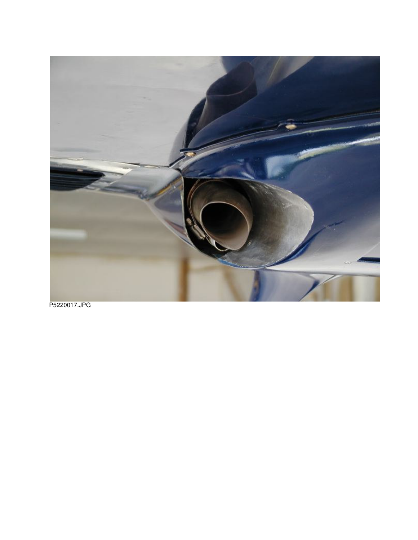

P5220017.JPG